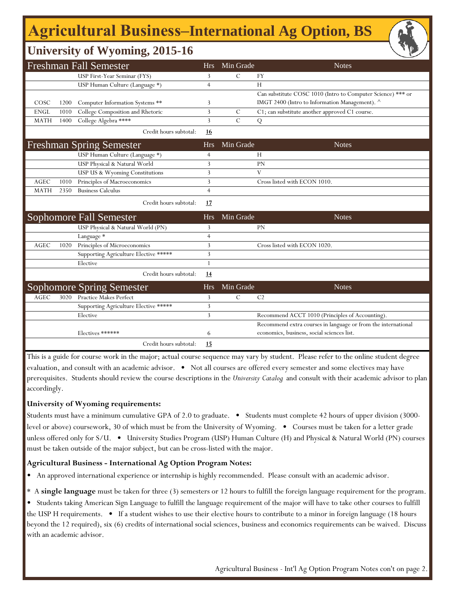# **Agricultural Business‒International Ag Option, BS**

### **University of Wyoming, 2015-16**

| <b>Freshman Fall Semester</b> |      |                                       |                | Min Grade     | <b>Notes</b>                                                  |
|-------------------------------|------|---------------------------------------|----------------|---------------|---------------------------------------------------------------|
|                               |      | USP First-Year Seminar (FYS)          | 3              | $\mathcal{C}$ | <b>FY</b>                                                     |
|                               |      | USP Human Culture (Language *)        | $\overline{4}$ |               | H                                                             |
|                               |      |                                       |                |               | Can substitute COSC 1010 (Intro to Computer Science) *** or   |
| COSC                          | 1200 | Computer Information Systems **       | 3              |               | IMGT 2400 (Intro to Information Management). ^                |
| <b>ENGL</b>                   | 1010 | College Composition and Rhetoric      | 3              | $\mathcal{C}$ | C1; can substitute another approved C1 course.                |
| <b>MATH</b>                   | 1400 | College Algebra ****                  | 3              | $\mathcal{C}$ | Q                                                             |
|                               |      | Credit hours subtotal:                | <b>16</b>      |               |                                                               |
|                               |      | <b>Freshman Spring Semester</b>       | <b>Hrs</b>     | Min Grade     | <b>Notes</b>                                                  |
|                               |      | USP Human Culture (Language *)        | $\overline{4}$ |               | H                                                             |
|                               |      | USP Physical & Natural World          | 3              |               | PN                                                            |
|                               |      | USP US & Wyoming Constitutions        | 3              |               | V                                                             |
| AGEC                          | 1010 | Principles of Macroeconomics          | 3              |               | Cross listed with ECON 1010.                                  |
| <b>MATH</b>                   | 2350 | <b>Business Calculus</b>              | $\overline{4}$ |               |                                                               |
|                               |      | Credit hours subtotal:                | 17             |               |                                                               |
|                               |      | <b>Sophomore Fall Semester</b>        | <b>Hrs</b>     | Min Grade     | <b>Notes</b>                                                  |
|                               |      | USP Physical & Natural World (PN)     | 3              |               | <b>PN</b>                                                     |
|                               |      | Language *                            | $\overline{4}$ |               |                                                               |
| AGEC                          | 1020 | Principles of Microeconomics          | 3              |               | Cross listed with ECON 1020.                                  |
|                               |      | Supporting Agriculture Elective ***** | 3              |               |                                                               |
|                               |      | Elective                              | 1              |               |                                                               |
|                               |      | Credit hours subtotal:                | 14             |               |                                                               |
|                               |      | Sophomore Spring Semester             | <b>Hrs</b>     | Min Grade     | <b>Notes</b>                                                  |
| <b>AGEC</b>                   | 3020 | <b>Practice Makes Perfect</b>         | 3              | С             | C <sub>2</sub>                                                |
|                               |      | Supporting Agriculture Elective ***** | 3              |               |                                                               |
|                               |      | Elective                              | 3              |               | Recommend ACCT 1010 (Principles of Accounting).               |
|                               |      |                                       |                |               | Recommend extra courses in language or from the international |
|                               |      | Electives ******                      | 6              |               | economics, business, social sciences list.                    |
|                               |      | Credit hours subtotal:                | 15             |               |                                                               |

This is a guide for course work in the major; actual course sequence may vary by student. Please refer to the online student degree evaluation, and consult with an academic advisor. • Not all courses are offered every semester and some electives may have

prerequisites. Students should review the course descriptions in the *University Catalog* and consult with their academic advisor to plan accordingly.

### **University of Wyoming requirements:**

with an academic advisor.

Students must have a minimum cumulative GPA of 2.0 to graduate. • Students must complete 42 hours of upper division (3000 level or above) coursework, 30 of which must be from the University of Wyoming. • Courses must be taken for a letter grade unless offered only for S/U. • University Studies Program (USP) Human Culture (H) and Physical & Natural World (PN) courses must be taken outside of the major subject, but can be cross-listed with the major.

### **Agricultural Business - International Ag Option Program Notes:**

• An approved international experience or internship is highly recommended. Please consult with an academic advisor.

\* A **single language** must be taken for three (3) semesters or 12 hours to fulfill the foreign language requirement for the program.

• Students taking American Sign Language to fulfill the language requirement of the major will have to take other courses to fulfill the USP H requirements. • If a student wishes to use their elective hours to contribute to a minor in foreign language (18 hours beyond the 12 required), six (6) credits of international social sciences, business and economics requirements can be waived. Discuss

Agricultural Business - Int'l Ag Option Program Notes con't on page 2.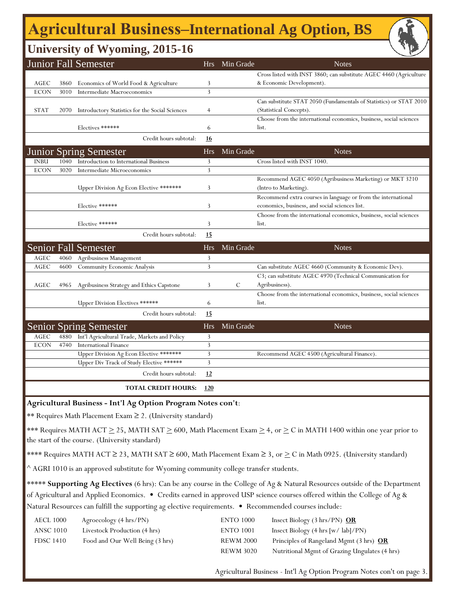# **Agricultural Business‒International Ag Option, BS**

## **University of Wyoming, 2015-16**

|                                                              |                                                            | $\mathbf{\Sigma}^{\prime}$                      |                |           |                                                                                                                                       |  |  |
|--------------------------------------------------------------|------------------------------------------------------------|-------------------------------------------------|----------------|-----------|---------------------------------------------------------------------------------------------------------------------------------------|--|--|
|                                                              |                                                            | Junior Fall Semester                            | Hrs            | Min Grade | <b>Notes</b>                                                                                                                          |  |  |
|                                                              |                                                            |                                                 |                |           | Cross listed with INST 3860; can substitute AGEC 4460 (Agriculture                                                                    |  |  |
| AGEC                                                         | 3860                                                       | Economics of World Food & Agriculture           | 3              |           | & Economic Development).                                                                                                              |  |  |
| <b>ECON</b>                                                  | 3010                                                       | Intermediate Macroeconomics                     | 3              |           |                                                                                                                                       |  |  |
|                                                              |                                                            |                                                 |                |           | Can substitute STAT 2050 (Fundamentals of Statistics) or STAT 2010                                                                    |  |  |
| <b>STAT</b>                                                  | 2070                                                       | Introductory Statistics for the Social Sciences | $\overline{4}$ |           | (Statistical Concepts).                                                                                                               |  |  |
|                                                              |                                                            |                                                 |                |           | Choose from the international economics, business, social sciences                                                                    |  |  |
|                                                              |                                                            | Electives ******                                | 6              |           | list.                                                                                                                                 |  |  |
|                                                              |                                                            | Credit hours subtotal:                          | 16             |           |                                                                                                                                       |  |  |
|                                                              |                                                            | <b>Junior Spring Semester</b>                   | Hrs            | Min Grade | <b>Notes</b>                                                                                                                          |  |  |
| <b>INBU</b>                                                  | 1040                                                       | Introduction to International Business          | 3              |           | Cross listed with INST 1040.                                                                                                          |  |  |
| <b>ECON</b>                                                  | 3020                                                       | Intermediate Microeconomics                     | 3              |           |                                                                                                                                       |  |  |
|                                                              |                                                            | Upper Division Ag Econ Elective *******         | 3              |           | Recommend AGEC 4050 (Agribusiness Marketing) or MKT 3210<br>(Intro to Marketing).                                                     |  |  |
|                                                              |                                                            |                                                 |                |           | Recommend extra courses in language or from the international                                                                         |  |  |
|                                                              |                                                            | Elective ******                                 | 3              |           | economics, business, and social sciences list.                                                                                        |  |  |
|                                                              |                                                            |                                                 |                |           | Choose from the international economics, business, social sciences                                                                    |  |  |
|                                                              |                                                            | Elective ******                                 | 3              |           | list.                                                                                                                                 |  |  |
|                                                              |                                                            | Credit hours subtotal:                          | 15             |           |                                                                                                                                       |  |  |
|                                                              |                                                            | <b>Senior Fall Semester</b>                     | Hrs            | Min Grade | <b>Notes</b>                                                                                                                          |  |  |
| AGEC                                                         | 4060                                                       | Agribusiness Management                         | 3              |           |                                                                                                                                       |  |  |
| AGEC                                                         | 4600                                                       | <b>Community Economic Analysis</b>              | 3              |           | Can substitute AGEC 4660 (Community & Economic Dev).                                                                                  |  |  |
|                                                              |                                                            |                                                 |                |           | C3; can substitute AGEC 4970 (Technical Communication for                                                                             |  |  |
| AGEC                                                         | 4965                                                       | Agribusiness Strategy and Ethics Capstone       | 3              | С         | Agribusiness).                                                                                                                        |  |  |
|                                                              |                                                            |                                                 |                |           | Choose from the international economics, business, social sciences                                                                    |  |  |
|                                                              |                                                            | Upper Division Electives ******                 | 6              |           | list.                                                                                                                                 |  |  |
|                                                              |                                                            | Credit hours subtotal:                          | 15             |           |                                                                                                                                       |  |  |
|                                                              |                                                            | <b>Senior Spring Semester</b>                   | Hrs            | Min Grade | <b>Notes</b>                                                                                                                          |  |  |
| AGEC                                                         | 4880                                                       | Int'l Agricultural Trade, Markets and Policy    | 3              |           |                                                                                                                                       |  |  |
| <b>ECON</b>                                                  | 4740                                                       | <b>International Finance</b>                    | 3              |           |                                                                                                                                       |  |  |
|                                                              |                                                            | Upper Division Ag Econ Elective *******         | 3              |           | Recommend AGEC 4500 (Agricultural Finance).                                                                                           |  |  |
|                                                              |                                                            | Upper Div Track of Study Elective ******        | 3              |           |                                                                                                                                       |  |  |
|                                                              |                                                            | Credit hours subtotal:                          | 12             |           |                                                                                                                                       |  |  |
|                                                              | <b>TOTAL CREDIT HOURS:</b><br><u>120</u>                   |                                                 |                |           |                                                                                                                                       |  |  |
| Agricultural Business - Int'l Ag Option Program Notes con't: |                                                            |                                                 |                |           |                                                                                                                                       |  |  |
|                                                              | ** Requires Math Placement Exam ≥ 2. (University standard) |                                                 |                |           |                                                                                                                                       |  |  |
|                                                              |                                                            |                                                 |                |           | *** Requires MATH ACT $\geq$ 25, MATH SAT $\geq$ 600, Math Placement Exam $\geq$ 4, or $\geq$ C in MATH 1400 within one year prior to |  |  |
|                                                              | the start of the course. (University standard)             |                                                 |                |           |                                                                                                                                       |  |  |

\*\*\*\* Requires MATH ACT  $\geq$  23, MATH SAT  $\geq$  600, Math Placement Exam  $\geq$  3, or  $\geq$  C in Math 0925. (University standard)

 $^{\wedge}$  AGRI 1010 is an approved substitute for Wyoming community college transfer students.

\*\*\*\*\* **Supporting Ag Electives** (6 hrs): Can be any course in the College of Ag & Natural Resources outside of the Department of Agricultural and Applied Economics. • Credits earned in approved USP science courses offered within the College of Ag & Natural Resources can fulfill the supporting ag elective requirements. • Recommended courses include:

| AECL 1000        | Agroecology (4 hrs/PN)          | <b>ENTO 1000</b> | Insect Biology $(3 \text{ hrs/PN})$ OR                  |
|------------------|---------------------------------|------------------|---------------------------------------------------------|
| ANSC 1010        | Livestock Production (4 hrs)    | <b>ENTO 1001</b> | Insect Biology $(4 \text{ hrs} [w / \text{ lab}] / PN)$ |
| <b>FDSC 1410</b> | Food and Our Well Being (3 hrs) | <b>REWM 2000</b> | Principles of Rangeland Mgmt (3 hrs) OR                 |
|                  |                                 | <b>REWM 3020</b> | Nutritional Mgmt of Grazing Ungulates (4 hrs)           |

Agricultural Business - Int'l Ag Option Program Notes con't on page 3.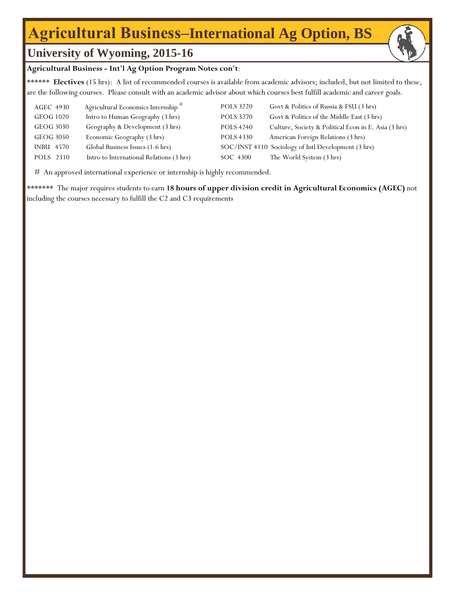## **Agricultural Business‒International Ag Option, BS**



#### **Agricultural Business - Int'l Ag Option Program Notes con't**:

\*\*\*\*\*\* **Electives** (15 hrs): A list of recommended courses is available from academic advisors; included, but not limited to these, are the following courses. Please consult with an academic advisor about which courses best fulfill academic and career goals.

| AGEC 4930        | Agricultural Economics Internship <sup>#</sup> | <b>POLS 3220</b> | Govt & Politics of Russia & FSU (3 hrs)              |
|------------------|------------------------------------------------|------------------|------------------------------------------------------|
| GEOG 1020        | Intro to Human Geography (3 hrs)               | <b>POLS 3270</b> | Govt & Politics of the Middle East (3 hrs)           |
| GEOG 3030        | Geography & Development (3 hrs)                | <b>POLS 4240</b> | Culture, Society & Political Econ in E. Asia (3 hrs) |
| GEOG 3050        | Economic Geography (3 hrs)                     | <b>POLS 4330</b> | American Foreign Relations (3 hrs)                   |
| <b>INBU 4570</b> | Global Business Issues (1-6 hrs)               |                  | SOC/INST 4110 Sociology of Intl Development (3 hrs)  |
| POLS 2310        | Intro to International Relations (3 hrs)       | SOC 4300         | The World System (3 hrs)                             |

# An approved international experience or internship is highly recommended.

\*\*\*\*\*\*\* The major requires students to earn **18 hours of upper division credit in Agricultural Economics (AGEC)** not including the courses necessary to fulfill the C2 and C3 requirements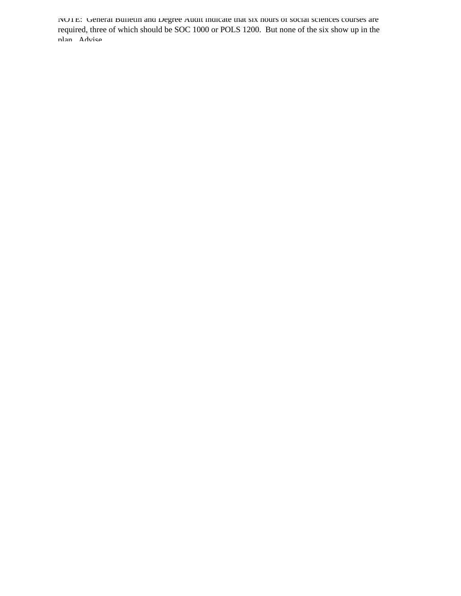NOTE: General Bulletin and Degree Audit indicate that six hours of social sciences courses are required, three of which should be SOC 1000 or POLS 1200. But none of the six show up in the plan Advise